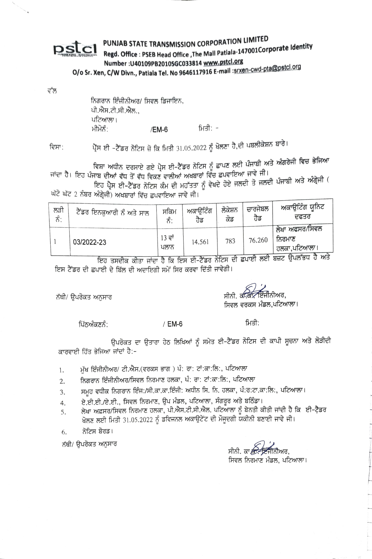## PUNJAB STATE TRANSMISSION CORPORATION LIMITED pstcl Regd. Office : PSEB Head Office , The Mall Patiala-147001Corporate Identity Number: U40109PB2010SGC033814 www.pstcl.org

O/o Sr. Xen, C/W Divn., Patiala Tel. No 9646117916 E-mail :srxen-cwd-pta@pstcl.org

ਵੱਲ

ਨਿਗਰਾਨ ਇੰਜੀਨੀਅਰ/ ਸਿਵਲ ਡਿਜਾਇਨ, ਪੀ.ਐਸ.ਟੀ.ਸੀ.ਐਲ ਪਟਿਆਲਾ। ਮੀਮੋਨੰ ਮਿਤੀ: -/EM-6

ਵਿਸਾ:

ਪ੍ਰੈੱਸ ਈ –ਟੈੱਡਰ ਨੋਟਿਸ ਜ਼ੋ ਕਿ ਮਿਤੀ 31.05.2022 ਨੂੰ ਖੋਲਣਾ ਹੈ,ਦੀ ਪਬਲੀਕੇਸ਼ਨ ਬਾਰੇ।

ਵਿਸ਼ਾ ਅਧੀਨ ਦਰਸਾਏ ਗਏ ਪ੍ਰੈਸ ਈ–ਟੈਂਡਰ ਨੋਟਿਸ ਨੂੰ ਛਾਪਣ ਲਈ ਪੰਜਾਬੀ ਅਤੇ ਅੰਗਰੇਜੀ ਵਿਚ ਭੇਜਿਆ ਜਾਂਦਾ ਹੈ। ਇਹ ਪੰਜਾਬ ਦੀਆਂ ਵੱਧ ਤੋਂ ਵੱਧ ਵਿਕਣ ਵਾਲੀਆਂ ਅਖਬਾਰਾਂ ਵਿੱਚ ਛਪਵਾਇਆ ਜਾਵੇ ਜੀ।

ਇਹ ਪ੍ਰੈਸ ਈ-ਟੈਂਡਰ ਨੋਟਿਸ ਕੰਮ ਦੀ ਮਹੱਤਤਾ ਨੂੰ ਵੇਖਦੇ ਹੋਏ ਜਲਦੀ ਤੋ ਜਲਦੀ ਪੰਜਾਬੀ ਅਤੇ ਅੰਗ੍ਰੇਜੀ ( ਘੱਟੋ ਘੱਟ 2 ਨੰਬਰ ਅੰਗ੍ਰੇਜੀ) ਅਖਬਾਰਾਂ ਵਿੱਚ ਛਪਵਾਇਆ ਜਾਵੇ ਜੀ।

| ਲੜੀ<br>ਨੰ: | ਟੈਂਡਰ ਇਨਕੁਆਰੀ ਨੂੰ ਅਤੇ ਸਾਲ | ਸਕਿਮ           | ਅਕਾੳਟਿੰਗ<br>ਹਡ | ਲੱਕੇਸ਼ਨ<br>ਕਡ | ਚਾਰਜਬਲ<br>ರತ | ਅਕਾਊਟਿੰਗ ਯੂਨਿਟ<br>ਦਫਤਰ                                |
|------------|---------------------------|----------------|----------------|---------------|--------------|-------------------------------------------------------|
|            | 03/2022-23                | 13 ਵਾਂ<br>ਪਲਾਨ | 14.561         | 783           | 76.260       | ਲੇਖਾ ਅਫਸਰ/ਸਿਵਲ<br>ਨਿਰਮਾਣ<br><sup>।</sup> ਹਲਕਾ,ਪਟਿਆਲਾ। |

ਇਹ ਤਸਦੀਕ ਕੀਤਾ ਜਾਂਦਾ ਹੈ ਕਿ ਇਸ ਈ-ਟੈਂਡਰ ਨੋਟਿਸ ਦੀ ਛਪਾਈ ਲਈ ਬਜ਼ਟ ਉਪਲੱਭਧ ਹੈ ਅਤੇ ਇਸ ਟੈਂਡਰ ਦੀ ਛਪਾਈ ਦੇ ਬਿੱਲ ਦੀ ਅਦਾਇਗੀ ਸਮੇਂ ਸਿਰ ਕਰਵਾ ਦਿੱਤੀ ਜਾਵੇਗੀ।

ਨੱਥੀ/ ੳਪਰੋਕਤ ਅਨਸਾਰ

<del>∕ਇੰਜੀ</del>ਨੀਅਰ ਸੀਨੀ, ਕੀਕਾ ਸਿਵਲ ਵਰਕਸ ਮੰਡਲ ਪਟਿਆਲਾ।

ਪਿੱਨਅੰਕਣਨੰ:

/ EM-6

ਮਿਤੀ:

ਉਪਰੋਕਤ ਦਾ ਉਤਾਰਾ ਹੇਠ ਲਿਖਿਆਂ ਨੂੰ ਸਮੇਤ ਈ–ਟੈੱਡਰ ਨੋਟਿਸ ਦੀ ਕਾਪੀ ਸੂਚਨਾ ਅਤੇ ਲੋੜੀਦੀ ਕਾਰਵਾਈ ਹਿੱਤ ਭੇਜਿਆ ਜਾਂਦਾਂ ਹੈ:-

- ਮੱਖ ਇੰਜੀਨੀਅਰ/ ਟੀ.ਐਸ.(ਵਰਕਸ ਭਾਗ) ਪੰ: ਰਾ: ਟਾਂ:ਕਾ:ਲਿ:, ਪਟਿਆਲਾ 1.
- ਨਿਗਰਾਨ ਇੰਜੀਨੀਅਰ/ਸਿਵਲ ਨਿਰਮਾਣ ਹਲਕਾ, ਪੰ: ਰਾ: ਟਾਂ:ਕਾ:ਲਿ:, ਪਟਿਆਲਾ  $2.$
- ਸਮੂਹ ਵਧੀਕ ਨਿਗਰਾਨ ਇੰਜ:/ਸੀ.ਕਾ.ਕਾ.ਇੰਜੀ: ਅਧੀਨ ਸਿ. ਨਿ. ਹਲਕਾ, ਪੰ:ਰ:ਟਾ.ਕਾ:ਲਿ:, ਪਟਿਆਲਾ।  $\overline{3}$ .
- ਏ.ਈ.ਈ./ਏ.ਈ., ਸਿਵਲ ਨਿਰਮਾਣ, ਉਪ ਮੰਡਲ, ਪਟਿਆਲਾ, ਸੰਗਰੂਰ ਅਤੇ ਬਠਿੰਡਾ।  $4.$
- ਲੇਖਾ ਅਫ਼ਸਰ/ਸਿਵਲ ਨਿਰਮਾਣ ਹਲਕਾ, ਪੀ.ਐਸ.ਟੀ.ਸੀ.ਐਲ. ਪਟਿਆਲਾ ਨੂੰ ਬੇਨਤੀ ਕੀਤੀ ਜਾਂਦੀ ਹੈ ਕਿ ਈ–ਟੈਡਰ 5. ਖੋਲਣ ਲਈ ਮਿਤੀ 31.05.2022 ਨੂੰ ਡਵਿਜਨਲ ਅਕਾਊਟੇਂਟ ਦੀ ਮੌਜੂਦਗੀ ਯਕੀਨੀ ਬਣਾਈ ਜਾਵੇ ਜੀ।
- ਨੋਟਿਸ ਬੋਰਡ। 6.

ਨੱਥੀ/ ਉਪਰੋਕਤ ਅਨੁਸਾਰ

ਸਿਵਲ ਨਿਰਮਾਣ ਮੰਡਲ, ਪਟਿਆਲਾ।